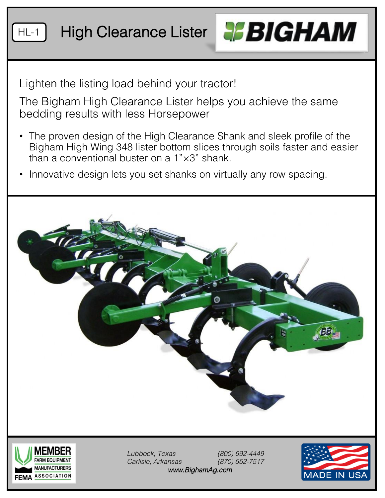



Lighten the listing load behind your tractor!

The Bigham High Clearance Lister helps you achieve the same bedding results with less Horsepower

- The proven design of the High Clearance Shank and sleek profile of the Bigham High Wing 348 lister bottom slices through soils faster and easier than a conventional buster on a 1"×3" shank.
- Innovative design lets you set shanks on virtually any row spacing.





*Lubbock, Texas (800) 692-4449 Carlisle, Arkansas (870) 552-7517 www.BighamAg.com*